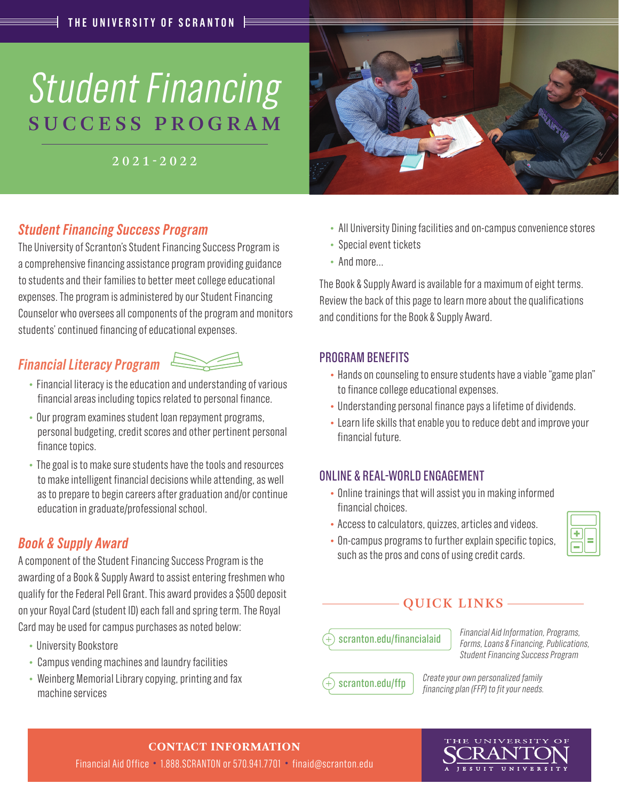# *Student Financing* SUCCESS PROGRAM

2021-2022



# *Student Financing Success Program*

The University of Scranton's Student Financing Success Program is a comprehensive financing assistance program providing guidance to students and their families to better meet college educational expenses. The program is administered by our Student Financing Counselor who oversees all components of the program and monitors students' continued financing of educational expenses.

# *Financial Literacy Program*



- Financial literacy is the education and understanding of various financial areas including topics related to personal finance.
- Our program examines student loan repayment programs, personal budgeting, credit scores and other pertinent personal finance topics.
- The goal is to make sure students have the tools and resources to make intelligent financial decisions while attending, as well as to prepare to begin careers after graduation and/or continue education in graduate/professional school.

## *Book & Supply Award*

A component of the Student Financing Success Program is the awarding of a Book & Supply Award to assist entering freshmen who qualify for the Federal Pell Grant. This award provides a \$500 deposit on your Royal Card (student ID) each fall and spring term. The Royal Card may be used for campus purchases as noted below:

- University Bookstore
- Campus vending machines and laundry facilities
- Weinberg Memorial Library copying, printing and fax machine services

#### • All University Dining facilities and on-campus convenience stores

- Special event tickets
- And more...

The Book & Supply Award is available for a maximum of eight terms. Review the back of this page to learn more about the qualifications and conditions for the Book & Supply Award. j

## PROGRAM BENEFITS

- Hands on counseling to ensure students have a viable "game plan" to finance college educational expenses.
- Understanding personal finance pays a lifetime of dividends.
- Learn life skills that enable you to reduce debt and improve your financial future.

## ONLINE & REAL-WORLD ENGAGEMENT

- Online trainings that will assist you in making informed financial choices.
- Access to calculators, quizzes, articles and videos.
- On-campus programs to further explain specific topics, such as the pros and cons of using credit cards.



## QUICK LINKS

scranton.edu/financialaid *Financial Aid Information, Programs, Forms, Loans & Financing, Publications, Student Financing Success Program*

scranton.edu/ffp *Create your own personalized family financing plan (FFP) to fit your needs.*